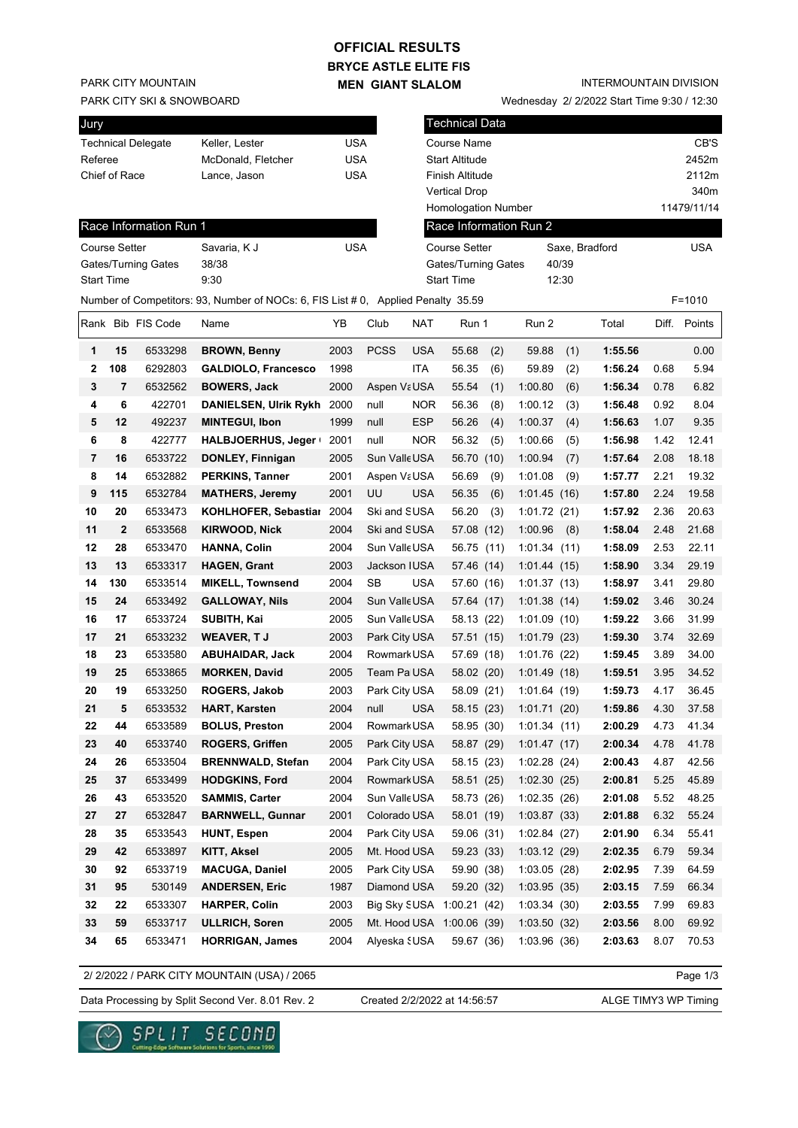## **BRYCE ASTLE ELITE FIS OFFICIAL RESULTS**

**MEN GIANT SLALOM**

PARK CITY MOUNTAIN

PARK CITY SKI & SNOWBOARD

| Jury               |                    |     |
|--------------------|--------------------|-----|
| Technical Delegate | Keller, Lester     | USA |
| Referee            | McDonald, Fletcher | USA |
| Chief of Race      | Lance, Jason       | USA |
|                    |                    |     |

#### INTERMOUNTAIN DIVISION

Wednesday 2/ 2/2022 Start Time 9:30 / 12:30

| Jury    |                      |                           |                                                                                   |            |               |            | <b>Technical Data</b>      |     |                        |       |                |      |              |
|---------|----------------------|---------------------------|-----------------------------------------------------------------------------------|------------|---------------|------------|----------------------------|-----|------------------------|-------|----------------|------|--------------|
|         |                      | <b>Technical Delegate</b> | Keller, Lester                                                                    | <b>USA</b> |               |            | Course Name                |     |                        |       |                |      | CB'S         |
| Referee |                      |                           | McDonald, Fletcher                                                                | <b>USA</b> |               |            | <b>Start Altitude</b>      |     |                        |       |                |      | 2452m        |
|         | Chief of Race        |                           | Lance, Jason                                                                      | <b>USA</b> |               |            | Finish Altitude            |     |                        |       |                |      | 2112m        |
|         |                      |                           |                                                                                   |            |               |            | <b>Vertical Drop</b>       |     |                        |       |                |      | 340m         |
|         |                      |                           |                                                                                   |            |               |            | <b>Homologation Number</b> |     |                        |       |                |      | 11479/11/14  |
|         |                      | Race Information Run 1    |                                                                                   |            |               |            |                            |     | Race Information Run 2 |       |                |      |              |
|         | <b>Course Setter</b> |                           | Savaria, K J                                                                      | <b>USA</b> |               |            | Course Setter              |     |                        |       | Saxe, Bradford |      | <b>USA</b>   |
|         |                      | Gates/Turning Gates       | 38/38                                                                             |            |               |            | Gates/Turning Gates        |     |                        | 40/39 |                |      |              |
|         | <b>Start Time</b>    |                           | 9:30                                                                              |            |               |            | <b>Start Time</b>          |     |                        | 12:30 |                |      |              |
|         |                      |                           | Number of Competitors: 93, Number of NOCs: 6, FIS List # 0, Applied Penalty 35.59 |            |               |            |                            |     |                        |       |                |      | $F = 1010$   |
|         |                      | Rank Bib FIS Code         | Name                                                                              | YB         | Club          | <b>NAT</b> | Run 1                      |     | Run 2                  |       | Total          |      | Diff. Points |
| 1       | 15                   | 6533298                   | <b>BROWN, Benny</b>                                                               | 2003       | <b>PCSS</b>   | <b>USA</b> | 55.68                      | (2) | 59.88                  | (1)   | 1:55.56        |      | 0.00         |
| 2       | 108                  | 6292803                   | <b>GALDIOLO, Francesco</b>                                                        | 1998       |               | ITA        | 56.35                      | (6) | 59.89                  | (2)   | 1:56.24        | 0.68 | 5.94         |
| 3       | 7                    | 6532562                   | <b>BOWERS, Jack</b>                                                               | 2000       | Aspen VaUSA   |            | 55.54                      | (1) | 1:00.80                | (6)   | 1:56.34        | 0.78 | 6.82         |
| 4       | 6                    | 422701                    | <b>DANIELSEN, Ulrik Rykh</b>                                                      | 2000       | null          | <b>NOR</b> | 56.36                      | (8) | 1:00.12                | (3)   | 1:56.48        | 0.92 | 8.04         |
| 5       | 12                   | 492237                    | <b>MINTEGUI, Ibon</b>                                                             | 1999       | null          | <b>ESP</b> | 56.26                      | (4) | 1:00.37                | (4)   | 1:56.63        | 1.07 | 9.35         |
| 6       | 8                    | 422777                    | HALBJOERHUS, Jeger                                                                | 2001       | null          | <b>NOR</b> | 56.32                      | (5) | 1:00.66                | (5)   | 1:56.98        | 1.42 | 12.41        |
| 7       | 16                   | 6533722                   | DONLEY, Finnigan                                                                  | 2005       | Sun Valle USA |            | 56.70 (10)                 |     | 1:00.94                | (7)   | 1:57.64        | 2.08 | 18.18        |
| 8       | 14                   | 6532882                   | <b>PERKINS, Tanner</b>                                                            | 2001       | Aspen VaUSA   |            | 56.69                      | (9) | 1:01.08                | (9)   | 1:57.77        | 2.21 | 19.32        |
| 9       | 115                  | 6532784                   | <b>MATHERS, Jeremy</b>                                                            | 2001       | UU            | <b>USA</b> | 56.35                      | (6) | 1:01.45(16)            |       | 1:57.80        | 2.24 | 19.58        |
| 10      | 20                   | 6533473                   | KOHLHOFER, Sebastial                                                              | 2004       | Ski and SUSA  |            | 56.20                      | (3) | 1:01.72(21)            |       | 1:57.92        | 2.36 | 20.63        |
| 11      | $\mathbf 2$          | 6533568                   | <b>KIRWOOD, Nick</b>                                                              | 2004       | Ski and SUSA  |            | 57.08 (12)                 |     | 1:00.96                | (8)   | 1:58.04        | 2.48 | 21.68        |
| 12      | 28                   | 6533470                   | <b>HANNA, Colin</b>                                                               | 2004       | Sun Valle USA |            | 56.75 (11)                 |     | 1:01.34(11)            |       | 1:58.09        | 2.53 | 22.11        |
| 13      | 13                   | 6533317                   | <b>HAGEN, Grant</b>                                                               | 2003       | Jackson IUSA  |            | 57.46 (14)                 |     | 1:01.44(15)            |       | 1:58.90        | 3.34 | 29.19        |
| 14      | 130                  | 6533514                   | <b>MIKELL, Townsend</b>                                                           | 2004       | SB            | <b>USA</b> | 57.60 (16)                 |     | 1:01.37(13)            |       | 1:58.97        | 3.41 | 29.80        |
| 15      | 24                   | 6533492                   | <b>GALLOWAY, Nils</b>                                                             | 2004       | Sun Valle USA |            | 57.64 (17)                 |     | 1:01.38(14)            |       | 1:59.02        | 3.46 | 30.24        |
| 16      | 17                   | 6533724                   | SUBITH, Kai                                                                       | 2005       | Sun Valle USA |            | 58.13 (22)                 |     | 1:01.09(10)            |       | 1:59.22        | 3.66 | 31.99        |
| 17      | 21                   | 6533232                   | <b>WEAVER, TJ</b>                                                                 | 2003       | Park City USA |            | 57.51 (15)                 |     | 1:01.79(23)            |       | 1:59.30        | 3.74 | 32.69        |
| 18      | 23                   | 6533580                   | <b>ABUHAIDAR, Jack</b>                                                            | 2004       | Rowmark USA   |            | 57.69 (18)                 |     | 1:01.76 (22)           |       | 1:59.45        | 3.89 | 34.00        |
| 19      | 25                   | 6533865                   | <b>MORKEN, David</b>                                                              | 2005       | Team Pa USA   |            | 58.02 (20)                 |     | 1:01.49(18)            |       | 1:59.51        | 3.95 | 34.52        |
| 20      | 19                   | 6533250                   | <b>ROGERS, Jakob</b>                                                              | 2003       | Park City USA |            | 58.09 (21)                 |     | 1:01.64(19)            |       | 1:59.73        | 4.17 | 36.45        |
| 21      | 5                    | 6533532                   | <b>HART, Karsten</b>                                                              | 2004       | null          | <b>USA</b> | 58.15 (23)                 |     | 1:01.71(20)            |       | 1:59.86        | 4.30 | 37.58        |
| 22      | 44                   | 6533589                   | <b>BOLUS, Preston</b>                                                             | 2004       | Rowmark USA   |            | 58.95 (30)                 |     | 1:01.34(11)            |       | 2:00.29        | 4.73 | 41.34        |
| 23      | 40                   | 6533740                   | <b>ROGERS, Griffen</b>                                                            | 2005       | Park City USA |            | 58.87 (29)                 |     | 1:01.47(17)            |       | 2:00.34        | 4.78 | 41.78        |
| 24      | 26                   | 6533504                   | <b>BRENNWALD, Stefan</b>                                                          | 2004       | Park City USA |            | 58.15 (23)                 |     | 1:02.28(24)            |       | 2:00.43        | 4.87 | 42.56        |
| 25      | 37                   | 6533499                   | <b>HODGKINS, Ford</b>                                                             | 2004       | Rowmark USA   |            | 58.51 (25)                 |     | 1:02.30(25)            |       | 2:00.81        | 5.25 | 45.89        |
| 26      | 43                   | 6533520                   | <b>SAMMIS, Carter</b>                                                             | 2004       | Sun Valle USA |            | 58.73 (26)                 |     | 1:02.35(26)            |       | 2:01.08        | 5.52 | 48.25        |
| 27      | 27                   | 6532847                   | <b>BARNWELL, Gunnar</b>                                                           | 2001       | Colorado USA  |            | 58.01 (19)                 |     | 1:03.87(33)            |       | 2:01.88        | 6.32 | 55.24        |
| 28      | 35                   | 6533543                   | <b>HUNT, Espen</b>                                                                | 2004       | Park City USA |            | 59.06 (31)                 |     | 1:02.84(27)            |       | 2:01.90        | 6.34 | 55.41        |
| 29      | 42                   | 6533897                   | KITT, Aksel                                                                       | 2005       | Mt. Hood USA  |            | 59.23 (33)                 |     | 1:03.12(29)            |       | 2:02.35        | 6.79 | 59.34        |
| 30      | 92                   | 6533719                   | <b>MACUGA, Daniel</b>                                                             | 2005       | Park City USA |            | 59.90 (38)                 |     | 1:03.05(28)            |       | 2:02.95        | 7.39 | 64.59        |
| 31      | 95                   | 530149                    | <b>ANDERSEN, Eric</b>                                                             | 1987       | Diamond USA   |            | 59.20 (32)                 |     | 1:03.95(35)            |       | 2:03.15        | 7.59 | 66.34        |
| 32      | 22                   | 6533307                   | <b>HARPER, Colin</b>                                                              | 2003       |               |            | Big Sky SUSA 1:00.21 (42)  |     | 1:03.34(30)            |       | 2:03.55        | 7.99 | 69.83        |
| 33      | 59                   | 6533717                   | <b>ULLRICH, Soren</b>                                                             | 2005       |               |            | Mt. Hood USA 1:00.06 (39)  |     | 1:03.50(32)            |       | 2:03.56        | 8.00 | 69.92        |
| 34      | 65                   | 6533471                   | <b>HORRIGAN, James</b>                                                            | 2004       | Alyeska SUSA  |            | 59.67 (36)                 |     | 1:03.96(36)            |       | 2:03.63        | 8.07 | 70.53        |

2/ 2/2022 / PARK CITY MOUNTAIN (USA) / 2065

Page 1/3

Data Processing by Split Second Ver. 8.01 Rev. 2 Created 2/2/2022 at 14:56:57 ALGE TIMY3 WP Timing

Created 2/2/2022 at 14:56:57

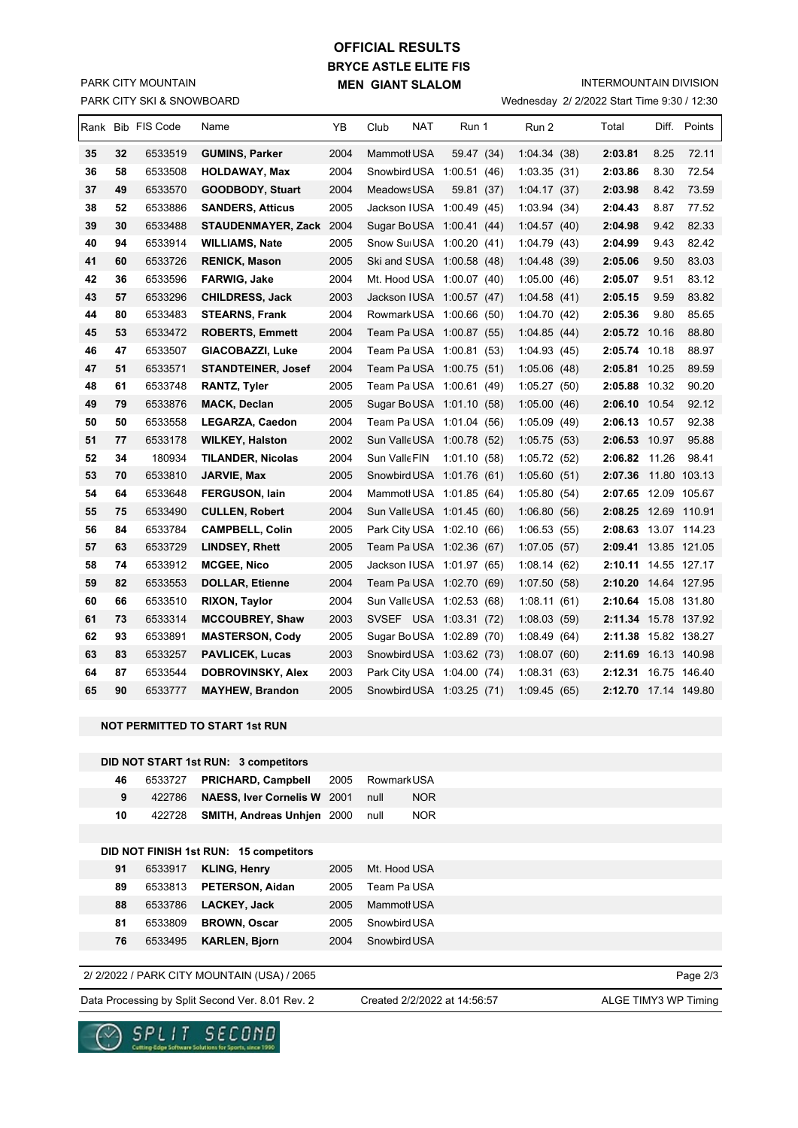## PARK CITY SKI & SNOWBOARD PARK CITY MOUNTAIN

# **BRYCE ASTLE ELITE FIS MEN GIANT SLALOM OFFICIAL RESULTS**

INTERMOUNTAIN DIVISION

| Wednesday 2/ 2/2022 Start Time 9:30 / 12:30 |  |  |  |  |
|---------------------------------------------|--|--|--|--|
|---------------------------------------------|--|--|--|--|

|    |    | Rank Bib FIS Code | Name                      | YB   | NAT<br>Club                | Run 1       | Run 2       | Total                | Diff. | Points       |
|----|----|-------------------|---------------------------|------|----------------------------|-------------|-------------|----------------------|-------|--------------|
| 35 | 32 | 6533519           | <b>GUMINS, Parker</b>     | 2004 | Mammotl USA                | 59.47 (34)  | 1:04.34(38) | 2:03.81              | 8.25  | 72.11        |
| 36 | 58 | 6533508           | <b>HOLDAWAY, Max</b>      | 2004 | Snowbird USA 1:00.51 (46)  |             | 1:03.35(31) | 2:03.86              | 8.30  | 72.54        |
| 37 | 49 | 6533570           | <b>GOODBODY, Stuart</b>   | 2004 | Meadows USA                | 59.81 (37)  | 1:04.17(37) | 2:03.98              | 8.42  | 73.59        |
| 38 | 52 | 6533886           | <b>SANDERS, Atticus</b>   | 2005 | Jackson IUSA 1:00.49 (45)  |             | 1:03.94(34) | 2:04.43              | 8.87  | 77.52        |
| 39 | 30 | 6533488           | STAUDENMAYER, Zack 2004   |      | Sugar BoUSA 1:00.41 (44)   |             | 1:04.57(40) | 2:04.98              | 9.42  | 82.33        |
| 40 | 94 | 6533914           | <b>WILLIAMS, Nate</b>     | 2005 | Snow SuiUSA 1:00.20 (41)   |             | 1:04.79(43) | 2:04.99              | 9.43  | 82.42        |
| 41 | 60 | 6533726           | <b>RENICK, Mason</b>      | 2005 | Ski and SUSA 1:00.58 (48)  |             | 1:04.48(39) | 2:05.06              | 9.50  | 83.03        |
| 42 | 36 | 6533596           | FARWIG, Jake              | 2004 | Mt. Hood USA 1:00.07 (40)  |             | 1:05.00(46) | 2:05.07              | 9.51  | 83.12        |
| 43 | 57 | 6533296           | <b>CHILDRESS, Jack</b>    | 2003 | Jackson IUSA 1:00.57 (47)  |             | 1:04.58(41) | 2:05.15              | 9.59  | 83.82        |
| 44 | 80 | 6533483           | <b>STEARNS, Frank</b>     | 2004 | Rowmark USA 1:00.66 (50)   |             | 1:04.70(42) | 2:05.36              | 9.80  | 85.65        |
| 45 | 53 | 6533472           | <b>ROBERTS, Emmett</b>    | 2004 | Team Pa USA 1:00.87 (55)   |             | 1:04.85(44) | 2:05.72 10.16        |       | 88.80        |
| 46 | 47 | 6533507           | GIACOBAZZI, Luke          | 2004 | Team Pa USA 1:00.81 (53)   |             | 1:04.93(45) | 2:05.74 10.18        |       | 88.97        |
| 47 | 51 | 6533571           | <b>STANDTEINER, Josef</b> | 2004 | Team Pa USA 1:00.75 (51)   |             | 1:05.06(48) | 2:05.81 10.25        |       | 89.59        |
| 48 | 61 | 6533748           | <b>RANTZ, Tyler</b>       | 2005 | Team Pa USA 1:00.61 (49)   |             | 1:05.27(50) | 2:05.88 10.32        |       | 90.20        |
| 49 | 79 | 6533876           | <b>MACK, Declan</b>       | 2005 | Sugar BoUSA 1:01.10 (58)   |             | 1:05.00(46) | 2:06.10 10.54        |       | 92.12        |
| 50 | 50 | 6533558           | <b>LEGARZA, Caedon</b>    | 2004 | Team Pa USA 1:01.04 (56)   |             | 1:05.09(49) | 2:06.13 10.57        |       | 92.38        |
| 51 | 77 | 6533178           | <b>WILKEY, Halston</b>    | 2002 | Sun Valle USA 1:00.78 (52) |             | 1:05.75(53) | 2:06.53 10.97        |       | 95.88        |
| 52 | 34 | 180934            | <b>TILANDER, Nicolas</b>  | 2004 | Sun Valle FIN              | 1:01.10(58) | 1:05.72(52) | 2:06.82 11.26        |       | 98.41        |
| 53 | 70 | 6533810           | JARVIE, Max               | 2005 | Snowbird USA 1:01.76 (61)  |             | 1:05.60(51) | 2:07.36              |       | 11.80 103.13 |
| 54 | 64 | 6533648           | <b>FERGUSON, lain</b>     | 2004 | Mammot USA 1:01.85 (64)    |             | 1:05.80(54) | 2:07.65 12.09 105.67 |       |              |
| 55 | 75 | 6533490           | <b>CULLEN, Robert</b>     | 2004 | Sun Valle USA 1:01.45 (60) |             | 1:06.80(56) | 2:08.25 12.69 110.91 |       |              |
| 56 | 84 | 6533784           | <b>CAMPBELL, Colin</b>    | 2005 | Park City USA 1:02.10 (66) |             | 1:06.53(55) | 2:08.63 13.07 114.23 |       |              |
| 57 | 63 | 6533729           | <b>LINDSEY, Rhett</b>     | 2005 | Team Pa USA 1:02.36 (67)   |             | 1:07.05(57) | 2:09.41 13.85 121.05 |       |              |
| 58 | 74 | 6533912           | <b>MCGEE, Nico</b>        | 2005 | Jackson IUSA 1:01.97 (65)  |             | 1:08.14(62) | 2:10.11 14.55 127.17 |       |              |
| 59 | 82 | 6533553           | <b>DOLLAR, Etienne</b>    | 2004 | Team Pa USA 1:02.70 (69)   |             | 1:07.50(58) | 2:10.20 14.64 127.95 |       |              |
| 60 | 66 | 6533510           | RIXON, Taylor             | 2004 | Sun Valle USA 1:02.53 (68) |             | 1:08.11(61) | 2:10.64 15.08 131.80 |       |              |
| 61 | 73 | 6533314           | <b>MCCOUBREY, Shaw</b>    | 2003 | SVSEF USA 1:03.31 (72)     |             | 1:08.03(59) | 2:11.34 15.78 137.92 |       |              |
| 62 | 93 | 6533891           | <b>MASTERSON, Cody</b>    | 2005 | Sugar BoUSA 1:02.89 (70)   |             | 1:08.49(64) | 2:11.38 15.82 138.27 |       |              |
| 63 | 83 | 6533257           | <b>PAVLICEK, Lucas</b>    | 2003 | Snowbird USA 1:03.62 (73)  |             | 1:08.07(60) | 2:11.69 16.13 140.98 |       |              |
| 64 | 87 | 6533544           | DOBROVINSKY, Alex         | 2003 | Park City USA 1:04.00 (74) |             | 1:08.31(63) | 2:12.31 16.75 146.40 |       |              |
| 65 | 90 | 6533777           | <b>MAYHEW, Brandon</b>    | 2005 | Snowbird USA 1:03.25 (71)  |             | 1:09.45(65) | 2:12.70 17.14 149.80 |       |              |

#### **NOT PERMITTED TO START 1st RUN**

### **DID NOT START 1st RUN: 3 competitors**

| 46 | 6533727 | <b>PRICHARD, Campbell</b>              | 2005 | Rowmark USA        |
|----|---------|----------------------------------------|------|--------------------|
| 9  | 422786  | NAESS, Iver Cornelis W 2001            |      | <b>NOR</b><br>null |
| 10 | 422728  | <b>SMITH, Andreas Unhien 2000</b>      |      | <b>NOR</b><br>null |
|    |         |                                        |      |                    |
|    |         | DID NOT FINISH 1st RUN: 15 competitors |      |                    |
| 91 | 6533917 | <b>KLING, Henry</b>                    | 2005 | Mt. Hood USA       |
| 89 | 6533813 | <b>PETERSON, Aidan</b>                 | 2005 | Team Pa USA        |
| 88 | 6533786 | LACKEY, Jack                           | 2005 | Mammotl USA        |
| 81 | 6533809 | <b>BROWN, Oscar</b>                    | 2005 | Snowbird USA       |
| 76 | 6533495 | <b>KARLEN, Bjorn</b>                   | 2004 | Snowbird USA       |
|    |         |                                        |      |                    |

## 2/ 2/2022 / PARK CITY MOUNTAIN (USA) / 2065

Data Processing by Split Second Ver. 8.01 Rev. 2 Created 2/2/2022 at 14:56:57 ALGE TIMY3 WP Timing

Created 2/2/2022 at 14:56:57

Page 2/3